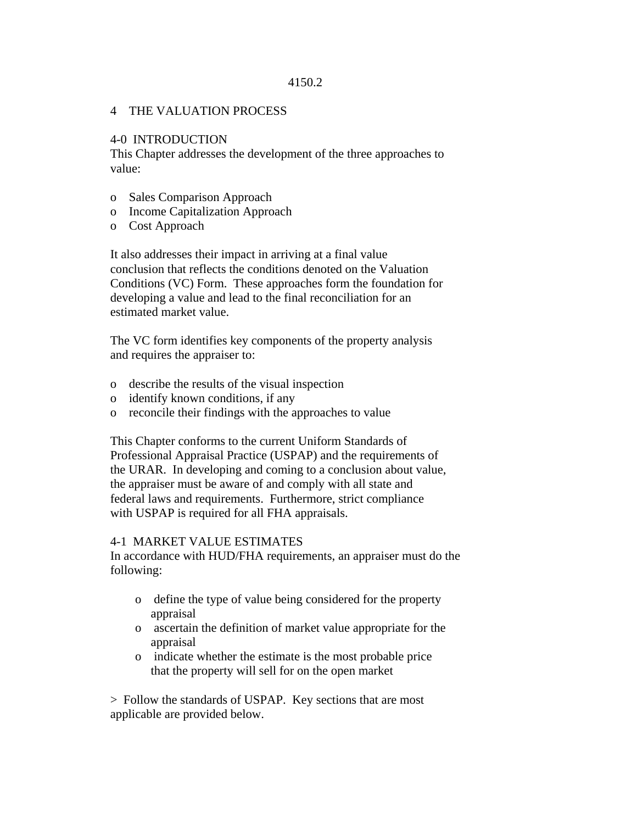## 4 THE VALUATION PROCESS

## 4-0 INTRODUCTION

This Chapter addresses the development of the three approaches to value:

- o Sales Comparison Approach
- o Income Capitalization Approach
- o Cost Approach

It also addresses their impact in arriving at a final value conclusion that reflects the conditions denoted on the Valuation Conditions (VC) Form. These approaches form the foundation for developing a value and lead to the final reconciliation for an estimated market value.

The VC form identifies key components of the property analysis and requires the appraiser to:

- o describe the results of the visual inspection
- o identify known conditions, if any
- o reconcile their findings with the approaches to value

This Chapter conforms to the current Uniform Standards of Professional Appraisal Practice (USPAP) and the requirements of the URAR. In developing and coming to a conclusion about value, the appraiser must be aware of and comply with all state and federal laws and requirements. Furthermore, strict compliance with USPAP is required for all FHA appraisals.

### 4-1 MARKET VALUE ESTIMATES

In accordance with HUD/FHA requirements, an appraiser must do the following:

- o define the type of value being considered for the property appraisal
- o ascertain the definition of market value appropriate for the appraisal
- o indicate whether the estimate is the most probable price that the property will sell for on the open market

> Follow the standards of USPAP. Key sections that are most applicable are provided below.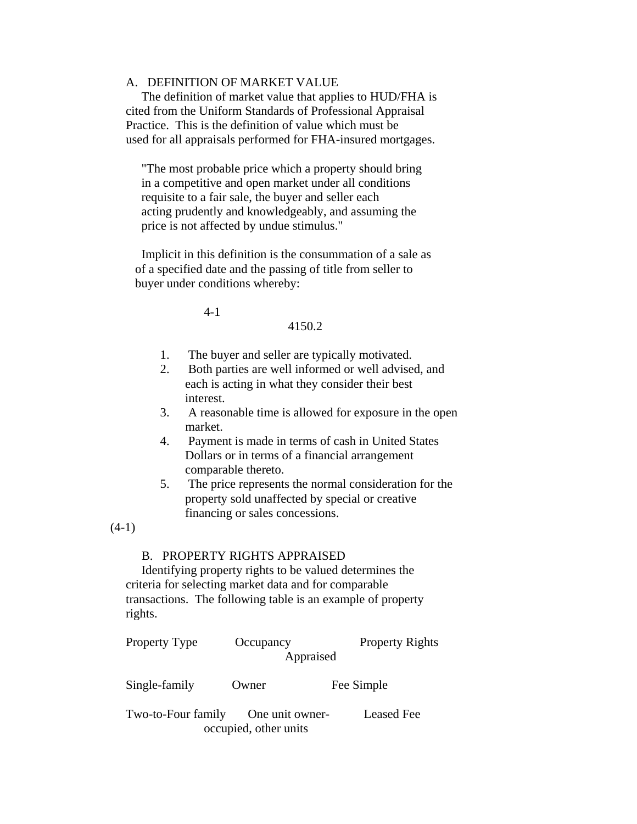## A. DEFINITION OF MARKET VALUE

 The definition of market value that applies to HUD/FHA is cited from the Uniform Standards of Professional Appraisal Practice. This is the definition of value which must be used for all appraisals performed for FHA-insured mortgages.

 "The most probable price which a property should bring in a competitive and open market under all conditions requisite to a fair sale, the buyer and seller each acting prudently and knowledgeably, and assuming the price is not affected by undue stimulus."

 Implicit in this definition is the consummation of a sale as of a specified date and the passing of title from seller to buyer under conditions whereby:

### 4-1

## 4150.2

- 1. The buyer and seller are typically motivated.
- 2. Both parties are well informed or well advised, and each is acting in what they consider their best interest.
- 3. A reasonable time is allowed for exposure in the open market.
- 4. Payment is made in terms of cash in United States Dollars or in terms of a financial arrangement comparable thereto.
- 5. The price represents the normal consideration for the property sold unaffected by special or creative financing or sales concessions.

#### $(4-1)$

## B. PROPERTY RIGHTS APPRAISED

 Identifying property rights to be valued determines the criteria for selecting market data and for comparable transactions. The following table is an example of property rights.

| Property Type      | Occupancy<br>Appraised                   | <b>Property Rights</b> |
|--------------------|------------------------------------------|------------------------|
| Single-family      | Owner                                    | Fee Simple             |
| Two-to-Four family | One unit owner-<br>occupied, other units | Leased Fee             |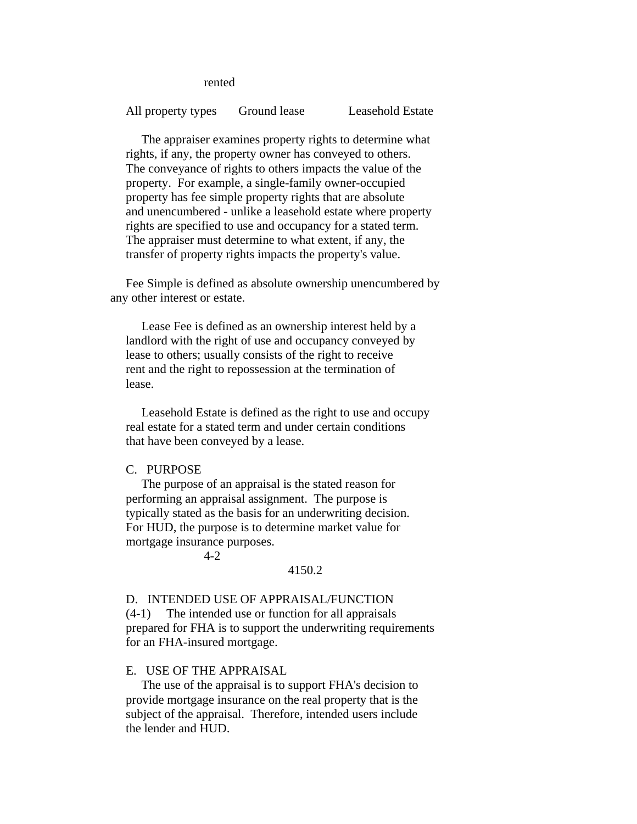rented

All property types Ground lease Leasehold Estate

 The appraiser examines property rights to determine what rights, if any, the property owner has conveyed to others. The conveyance of rights to others impacts the value of the property. For example, a single-family owner-occupied property has fee simple property rights that are absolute and unencumbered - unlike a leasehold estate where property rights are specified to use and occupancy for a stated term. The appraiser must determine to what extent, if any, the transfer of property rights impacts the property's value.

 Fee Simple is defined as absolute ownership unencumbered by any other interest or estate.

 Lease Fee is defined as an ownership interest held by a landlord with the right of use and occupancy conveyed by lease to others; usually consists of the right to receive rent and the right to repossession at the termination of lease.

 Leasehold Estate is defined as the right to use and occupy real estate for a stated term and under certain conditions that have been conveyed by a lease.

#### C. PURPOSE

 The purpose of an appraisal is the stated reason for performing an appraisal assignment. The purpose is typically stated as the basis for an underwriting decision. For HUD, the purpose is to determine market value for mortgage insurance purposes.

#### 4150.2

#### D. INTENDED USE OF APPRAISAL/FUNCTION

 (4-1) The intended use or function for all appraisals prepared for FHA is to support the underwriting requirements for an FHA-insured mortgage.

#### E. USE OF THE APPRAISAL

4-2

 The use of the appraisal is to support FHA's decision to provide mortgage insurance on the real property that is the subject of the appraisal. Therefore, intended users include the lender and HUD.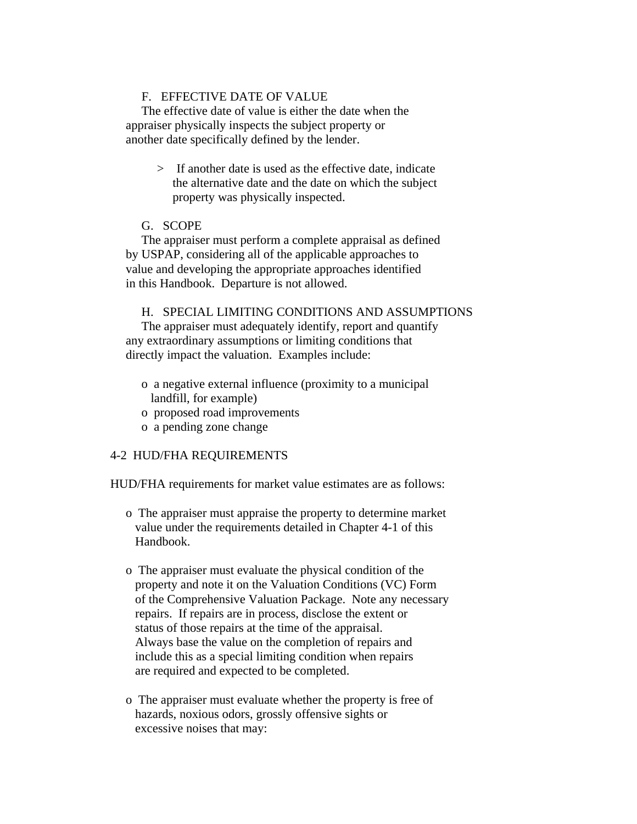## F. EFFECTIVE DATE OF VALUE

 The effective date of value is either the date when the appraiser physically inspects the subject property or another date specifically defined by the lender.

> > If another date is used as the effective date, indicate the alternative date and the date on which the subject property was physically inspected.

### G. SCOPE

 The appraiser must perform a complete appraisal as defined by USPAP, considering all of the applicable approaches to value and developing the appropriate approaches identified in this Handbook. Departure is not allowed.

### H. SPECIAL LIMITING CONDITIONS AND ASSUMPTIONS

 The appraiser must adequately identify, report and quantify any extraordinary assumptions or limiting conditions that directly impact the valuation. Examples include:

- o a negative external influence (proximity to a municipal landfill, for example)
- o proposed road improvements
- o a pending zone change

## 4-2 HUD/FHA REQUIREMENTS

HUD/FHA requirements for market value estimates are as follows:

- o The appraiser must appraise the property to determine market value under the requirements detailed in Chapter 4-1 of this Handbook.
- o The appraiser must evaluate the physical condition of the property and note it on the Valuation Conditions (VC) Form of the Comprehensive Valuation Package. Note any necessary repairs. If repairs are in process, disclose the extent or status of those repairs at the time of the appraisal. Always base the value on the completion of repairs and include this as a special limiting condition when repairs are required and expected to be completed.
- o The appraiser must evaluate whether the property is free of hazards, noxious odors, grossly offensive sights or excessive noises that may: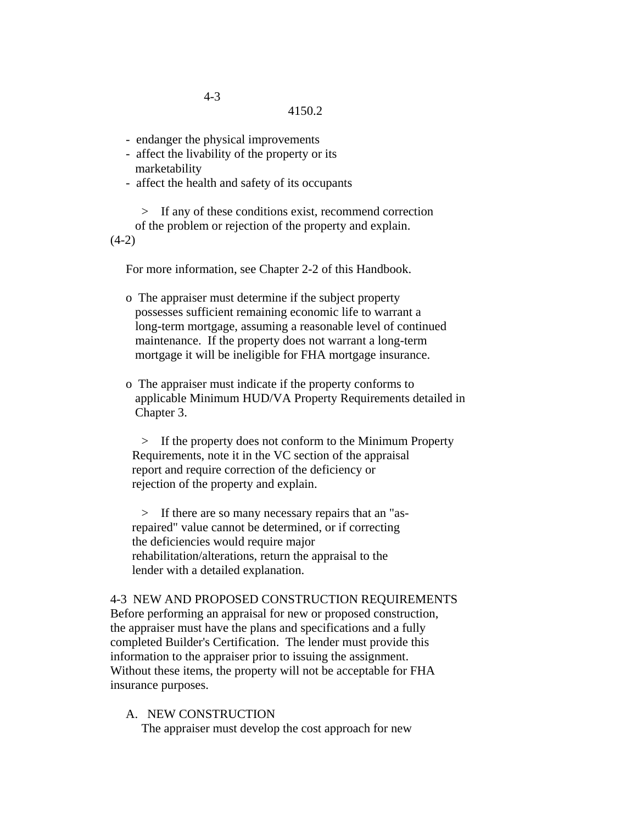- endanger the physical improvements

4-3

- affect the livability of the property or its marketability
- affect the health and safety of its occupants

 > If any of these conditions exist, recommend correction of the problem or rejection of the property and explain.  $(4-2)$ 

For more information, see Chapter 2-2 of this Handbook.

- o The appraiser must determine if the subject property possesses sufficient remaining economic life to warrant a long-term mortgage, assuming a reasonable level of continued maintenance. If the property does not warrant a long-term mortgage it will be ineligible for FHA mortgage insurance.
- o The appraiser must indicate if the property conforms to applicable Minimum HUD/VA Property Requirements detailed in Chapter 3.

 > If the property does not conform to the Minimum Property Requirements, note it in the VC section of the appraisal report and require correction of the deficiency or rejection of the property and explain.

 > If there are so many necessary repairs that an "as repaired" value cannot be determined, or if correcting the deficiencies would require major rehabilitation/alterations, return the appraisal to the lender with a detailed explanation.

# 4-3 NEW AND PROPOSED CONSTRUCTION REQUIREMENTS

Before performing an appraisal for new or proposed construction, the appraiser must have the plans and specifications and a fully completed Builder's Certification. The lender must provide this information to the appraiser prior to issuing the assignment. Without these items, the property will not be acceptable for FHA insurance purposes.

#### A. NEW CONSTRUCTION

The appraiser must develop the cost approach for new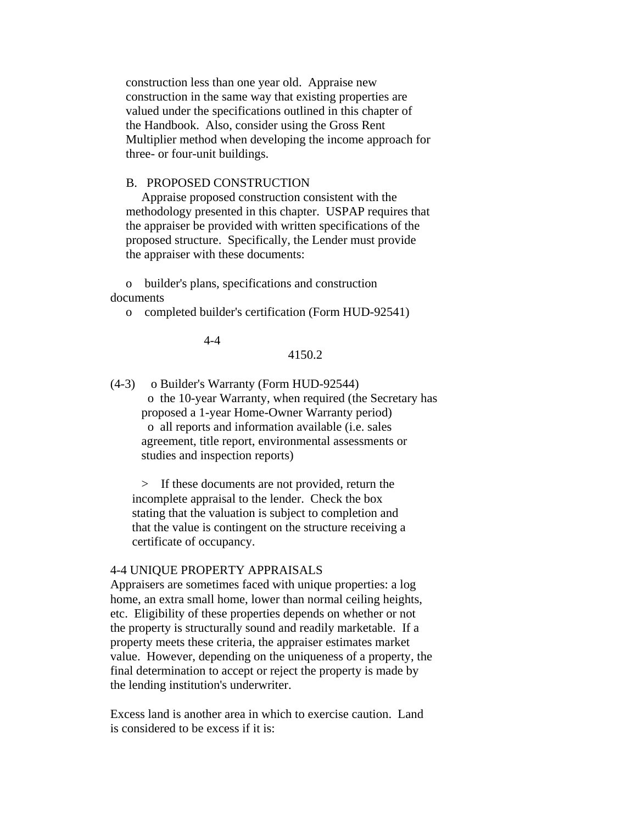construction less than one year old. Appraise new construction in the same way that existing properties are valued under the specifications outlined in this chapter of the Handbook. Also, consider using the Gross Rent Multiplier method when developing the income approach for three- or four-unit buildings.

## B. PROPOSED CONSTRUCTION

 Appraise proposed construction consistent with the methodology presented in this chapter. USPAP requires that the appraiser be provided with written specifications of the proposed structure. Specifically, the Lender must provide the appraiser with these documents:

 o builder's plans, specifications and construction documents

o completed builder's certification (Form HUD-92541)

4-4

4150.2

(4-3) o Builder's Warranty (Form HUD-92544) o the 10-year Warranty, when required (the Secretary has proposed a 1-year Home-Owner Warranty period) o all reports and information available (i.e. sales agreement, title report, environmental assessments or studies and inspection reports)

 > If these documents are not provided, return the incomplete appraisal to the lender. Check the box stating that the valuation is subject to completion and that the value is contingent on the structure receiving a certificate of occupancy.

### 4-4 UNIQUE PROPERTY APPRAISALS

Appraisers are sometimes faced with unique properties: a log home, an extra small home, lower than normal ceiling heights, etc. Eligibility of these properties depends on whether or not the property is structurally sound and readily marketable. If a property meets these criteria, the appraiser estimates market value. However, depending on the uniqueness of a property, the final determination to accept or reject the property is made by the lending institution's underwriter.

Excess land is another area in which to exercise caution. Land is considered to be excess if it is: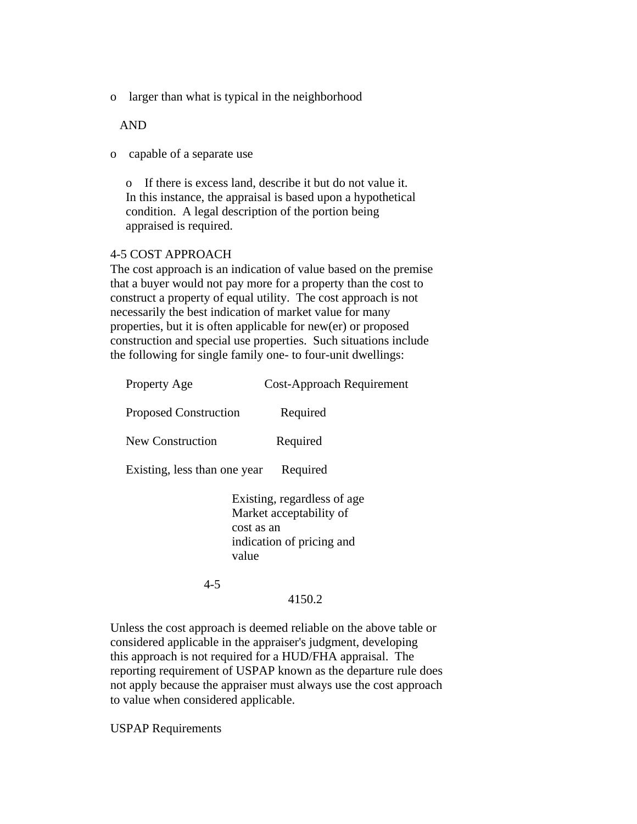o larger than what is typical in the neighborhood

AND

o capable of a separate use

 o If there is excess land, describe it but do not value it. In this instance, the appraisal is based upon a hypothetical condition. A legal description of the portion being appraised is required.

## 4-5 COST APPROACH

The cost approach is an indication of value based on the premise that a buyer would not pay more for a property than the cost to construct a property of equal utility. The cost approach is not necessarily the best indication of market value for many properties, but it is often applicable for new(er) or proposed construction and special use properties. Such situations include the following for single family one- to four-unit dwellings:

|                                                                                                            | Property Age                 | <b>Cost-Approach Requirement</b> |
|------------------------------------------------------------------------------------------------------------|------------------------------|----------------------------------|
|                                                                                                            | <b>Proposed Construction</b> | Required                         |
|                                                                                                            | New Construction             | Required                         |
|                                                                                                            | Existing, less than one year | Required                         |
| Existing, regardless of age<br>Market acceptability of<br>cost as an<br>indication of pricing and<br>value |                              |                                  |
|                                                                                                            |                              |                                  |

### 4150.2

Unless the cost approach is deemed reliable on the above table or considered applicable in the appraiser's judgment, developing this approach is not required for a HUD/FHA appraisal. The reporting requirement of USPAP known as the departure rule does not apply because the appraiser must always use the cost approach to value when considered applicable.

USPAP Requirements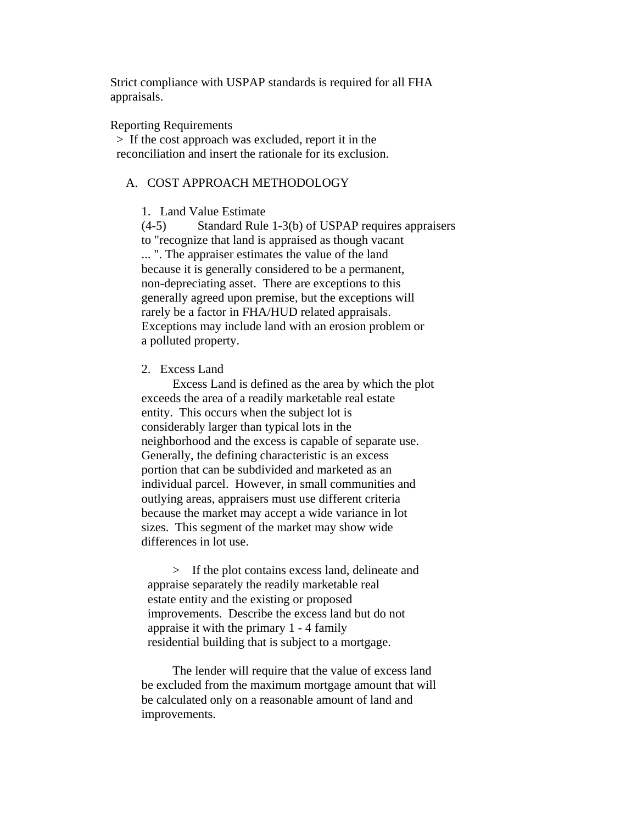Strict compliance with USPAP standards is required for all FHA appraisals.

#### Reporting Requirements

 > If the cost approach was excluded, report it in the reconciliation and insert the rationale for its exclusion.

## A. COST APPROACH METHODOLOGY

### 1. Land Value Estimate

 (4-5) Standard Rule 1-3(b) of USPAP requires appraisers to "recognize that land is appraised as though vacant ... ". The appraiser estimates the value of the land because it is generally considered to be a permanent, non-depreciating asset. There are exceptions to this generally agreed upon premise, but the exceptions will rarely be a factor in FHA/HUD related appraisals. Exceptions may include land with an erosion problem or a polluted property.

#### 2. Excess Land

 Excess Land is defined as the area by which the plot exceeds the area of a readily marketable real estate entity. This occurs when the subject lot is considerably larger than typical lots in the neighborhood and the excess is capable of separate use. Generally, the defining characteristic is an excess portion that can be subdivided and marketed as an individual parcel. However, in small communities and outlying areas, appraisers must use different criteria because the market may accept a wide variance in lot sizes. This segment of the market may show wide differences in lot use.

 > If the plot contains excess land, delineate and appraise separately the readily marketable real estate entity and the existing or proposed improvements. Describe the excess land but do not appraise it with the primary 1 - 4 family residential building that is subject to a mortgage.

 The lender will require that the value of excess land be excluded from the maximum mortgage amount that will be calculated only on a reasonable amount of land and improvements.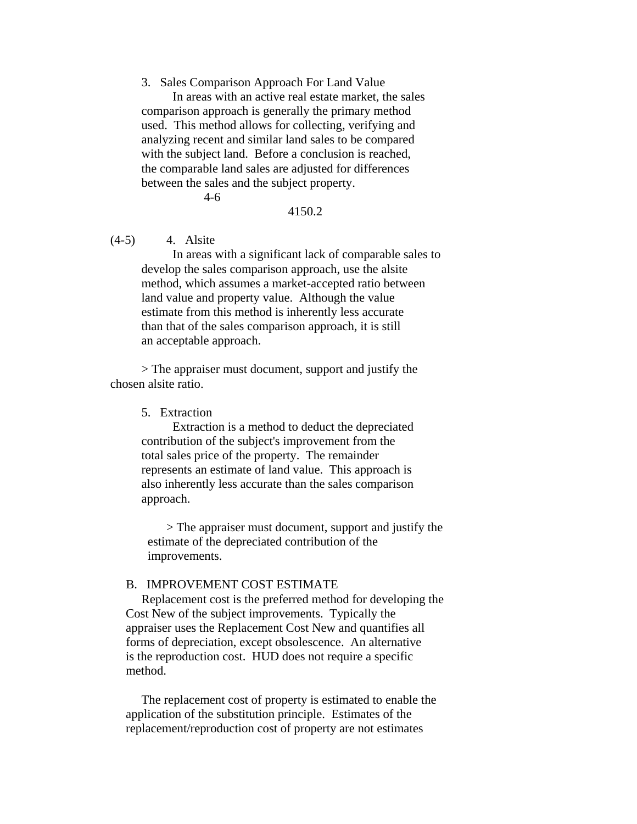3. Sales Comparison Approach For Land Value In areas with an active real estate market, the sales comparison approach is generally the primary method used. This method allows for collecting, verifying and analyzing recent and similar land sales to be compared with the subject land. Before a conclusion is reached, the comparable land sales are adjusted for differences between the sales and the subject property.

4-6

#### 4150.2

(4-5) 4. Alsite

 In areas with a significant lack of comparable sales to develop the sales comparison approach, use the alsite method, which assumes a market-accepted ratio between land value and property value. Although the value estimate from this method is inherently less accurate than that of the sales comparison approach, it is still an acceptable approach.

 > The appraiser must document, support and justify the chosen alsite ratio.

#### 5. Extraction

 Extraction is a method to deduct the depreciated contribution of the subject's improvement from the total sales price of the property. The remainder represents an estimate of land value. This approach is also inherently less accurate than the sales comparison approach.

 > The appraiser must document, support and justify the estimate of the depreciated contribution of the improvements.

#### B. IMPROVEMENT COST ESTIMATE

 Replacement cost is the preferred method for developing the Cost New of the subject improvements. Typically the appraiser uses the Replacement Cost New and quantifies all forms of depreciation, except obsolescence. An alternative is the reproduction cost. HUD does not require a specific method.

 The replacement cost of property is estimated to enable the application of the substitution principle. Estimates of the replacement/reproduction cost of property are not estimates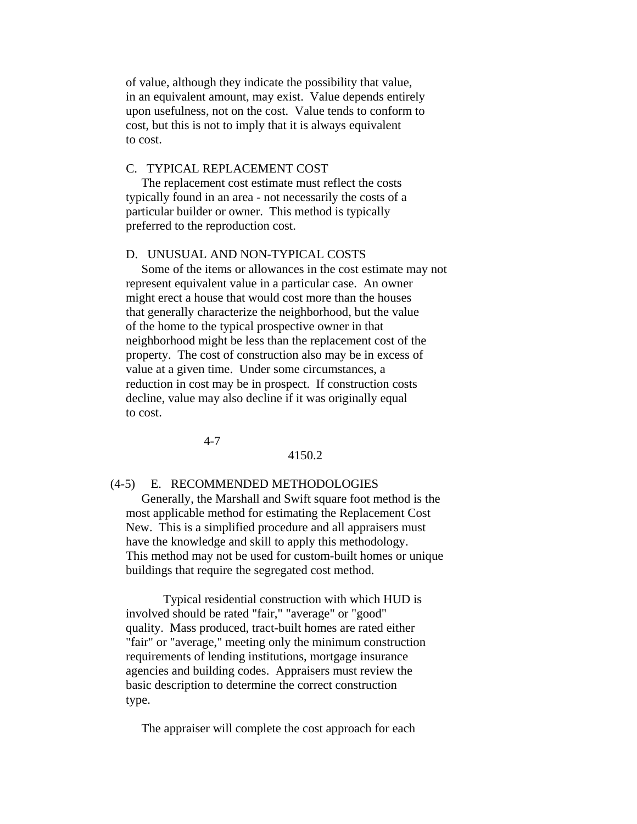of value, although they indicate the possibility that value, in an equivalent amount, may exist. Value depends entirely upon usefulness, not on the cost. Value tends to conform to cost, but this is not to imply that it is always equivalent to cost.

### C. TYPICAL REPLACEMENT COST

 The replacement cost estimate must reflect the costs typically found in an area - not necessarily the costs of a particular builder or owner. This method is typically preferred to the reproduction cost.

### D. UNUSUAL AND NON-TYPICAL COSTS

 Some of the items or allowances in the cost estimate may not represent equivalent value in a particular case. An owner might erect a house that would cost more than the houses that generally characterize the neighborhood, but the value of the home to the typical prospective owner in that neighborhood might be less than the replacement cost of the property. The cost of construction also may be in excess of value at a given time. Under some circumstances, a reduction in cost may be in prospect. If construction costs decline, value may also decline if it was originally equal to cost.

#### 4-7

#### 4150.2

#### (4-5) E. RECOMMENDED METHODOLOGIES

 Generally, the Marshall and Swift square foot method is the most applicable method for estimating the Replacement Cost New. This is a simplified procedure and all appraisers must have the knowledge and skill to apply this methodology. This method may not be used for custom-built homes or unique buildings that require the segregated cost method.

 Typical residential construction with which HUD is involved should be rated "fair," "average" or "good" quality. Mass produced, tract-built homes are rated either "fair" or "average," meeting only the minimum construction requirements of lending institutions, mortgage insurance agencies and building codes. Appraisers must review the basic description to determine the correct construction type.

The appraiser will complete the cost approach for each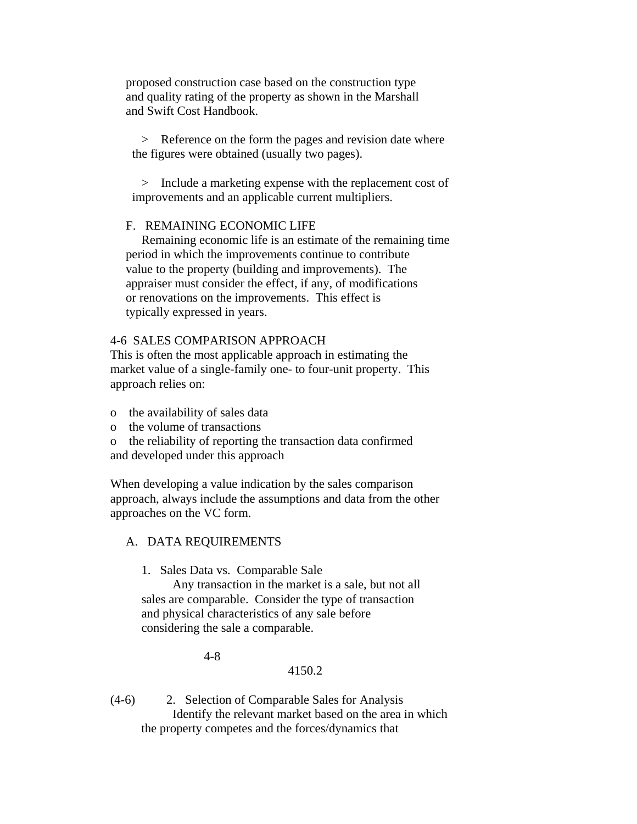proposed construction case based on the construction type and quality rating of the property as shown in the Marshall and Swift Cost Handbook.

 > Reference on the form the pages and revision date where the figures were obtained (usually two pages).

 > Include a marketing expense with the replacement cost of improvements and an applicable current multipliers.

### F. REMAINING ECONOMIC LIFE

 Remaining economic life is an estimate of the remaining time period in which the improvements continue to contribute value to the property (building and improvements). The appraiser must consider the effect, if any, of modifications or renovations on the improvements. This effect is typically expressed in years.

#### 4-6 SALES COMPARISON APPROACH

This is often the most applicable approach in estimating the market value of a single-family one- to four-unit property. This approach relies on:

- o the availability of sales data
- o the volume of transactions

o the reliability of reporting the transaction data confirmed and developed under this approach

When developing a value indication by the sales comparison approach, always include the assumptions and data from the other approaches on the VC form.

#### A. DATA REQUIREMENTS

#### 1. Sales Data vs. Comparable Sale

 Any transaction in the market is a sale, but not all sales are comparable. Consider the type of transaction and physical characteristics of any sale before considering the sale a comparable.

#### 4-8

### 4150.2

(4-6) 2. Selection of Comparable Sales for Analysis Identify the relevant market based on the area in which the property competes and the forces/dynamics that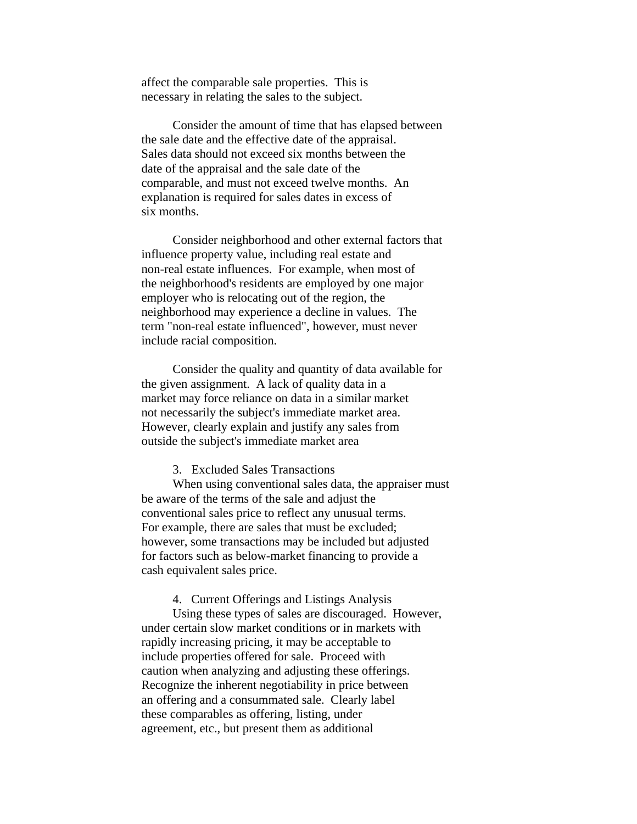affect the comparable sale properties. This is necessary in relating the sales to the subject.

 Consider the amount of time that has elapsed between the sale date and the effective date of the appraisal. Sales data should not exceed six months between the date of the appraisal and the sale date of the comparable, and must not exceed twelve months. An explanation is required for sales dates in excess of six months.

 Consider neighborhood and other external factors that influence property value, including real estate and non-real estate influences. For example, when most of the neighborhood's residents are employed by one major employer who is relocating out of the region, the neighborhood may experience a decline in values. The term "non-real estate influenced", however, must never include racial composition.

 Consider the quality and quantity of data available for the given assignment. A lack of quality data in a market may force reliance on data in a similar market not necessarily the subject's immediate market area. However, clearly explain and justify any sales from outside the subject's immediate market area

3. Excluded Sales Transactions

 When using conventional sales data, the appraiser must be aware of the terms of the sale and adjust the conventional sales price to reflect any unusual terms. For example, there are sales that must be excluded; however, some transactions may be included but adjusted for factors such as below-market financing to provide a cash equivalent sales price.

4. Current Offerings and Listings Analysis

 Using these types of sales are discouraged. However, under certain slow market conditions or in markets with rapidly increasing pricing, it may be acceptable to include properties offered for sale. Proceed with caution when analyzing and adjusting these offerings. Recognize the inherent negotiability in price between an offering and a consummated sale. Clearly label these comparables as offering, listing, under agreement, etc., but present them as additional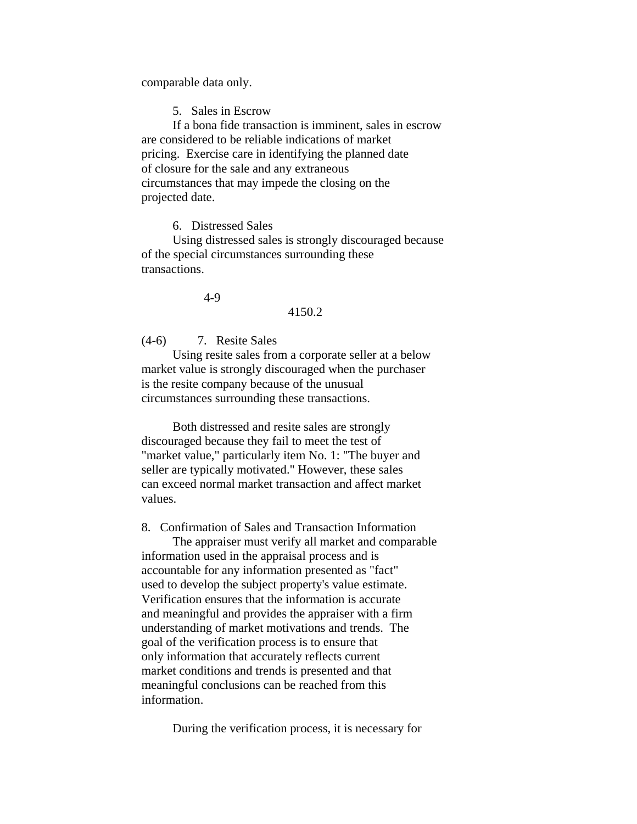comparable data only.

5. Sales in Escrow

 If a bona fide transaction is imminent, sales in escrow are considered to be reliable indications of market pricing. Exercise care in identifying the planned date of closure for the sale and any extraneous circumstances that may impede the closing on the projected date.

6. Distressed Sales

 Using distressed sales is strongly discouraged because of the special circumstances surrounding these transactions.

4-9

#### 4150.2

(4-6) 7. Resite Sales

 Using resite sales from a corporate seller at a below market value is strongly discouraged when the purchaser is the resite company because of the unusual circumstances surrounding these transactions.

 Both distressed and resite sales are strongly discouraged because they fail to meet the test of "market value," particularly item No. 1: "The buyer and seller are typically motivated." However, these sales can exceed normal market transaction and affect market values.

8. Confirmation of Sales and Transaction Information

 The appraiser must verify all market and comparable information used in the appraisal process and is accountable for any information presented as "fact" used to develop the subject property's value estimate. Verification ensures that the information is accurate and meaningful and provides the appraiser with a firm understanding of market motivations and trends. The goal of the verification process is to ensure that only information that accurately reflects current market conditions and trends is presented and that meaningful conclusions can be reached from this information.

During the verification process, it is necessary for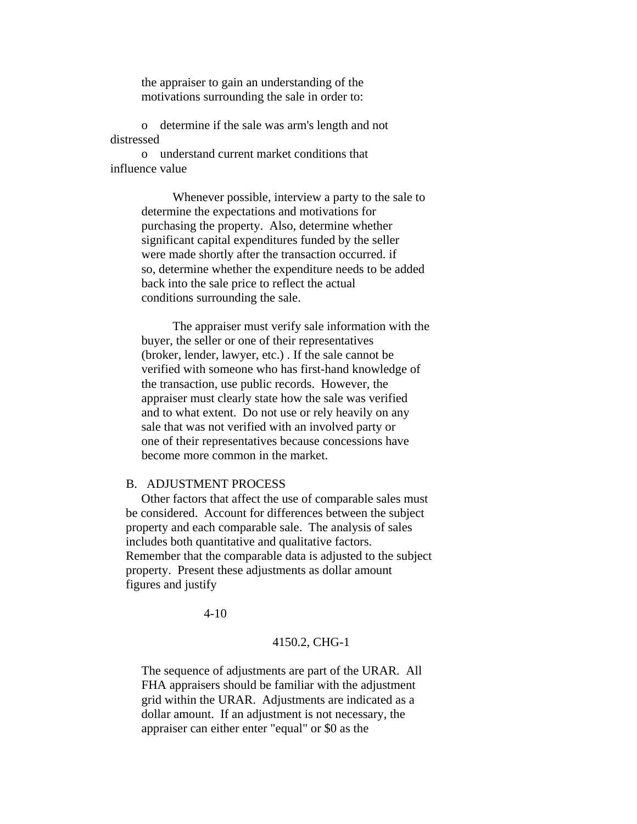the appraiser to gain an understanding of the motivations surrounding the sale in order to:

 o determine if the sale was arm's length and not distressed

 o understand current market conditions that influence value

> Whenever possible, interview a party to the sale to determine the expectations and motivations for purchasing the property. Also, determine whether significant capital expenditures funded by the seller were made shortly after the transaction occurred. if so, determine whether the expenditure needs to be added back into the sale price to reflect the actual conditions surrounding the sale.

 The appraiser must verify sale information with the buyer, the seller or one of their representatives (broker, lender, lawyer, etc.) . If the sale cannot be verified with someone who has first-hand knowledge of the transaction, use public records. However, the appraiser must clearly state how the sale was verified and to what extent. Do not use or rely heavily on any sale that was not verified with an involved party or one of their representatives because concessions have become more common in the market.

#### B. ADJUSTMENT PROCESS

 Other factors that affect the use of comparable sales must be considered. Account for differences between the subject property and each comparable sale. The analysis of sales includes both quantitative and qualitative factors. Remember that the comparable data is adjusted to the subject property. Present these adjustments as dollar amount figures and justify

#### 4-10

### 4150.2, CHG-1

 The sequence of adjustments are part of the URAR. All FHA appraisers should be familiar with the adjustment grid within the URAR. Adjustments are indicated as a dollar amount. If an adjustment is not necessary, the appraiser can either enter "equal" or \$0 as the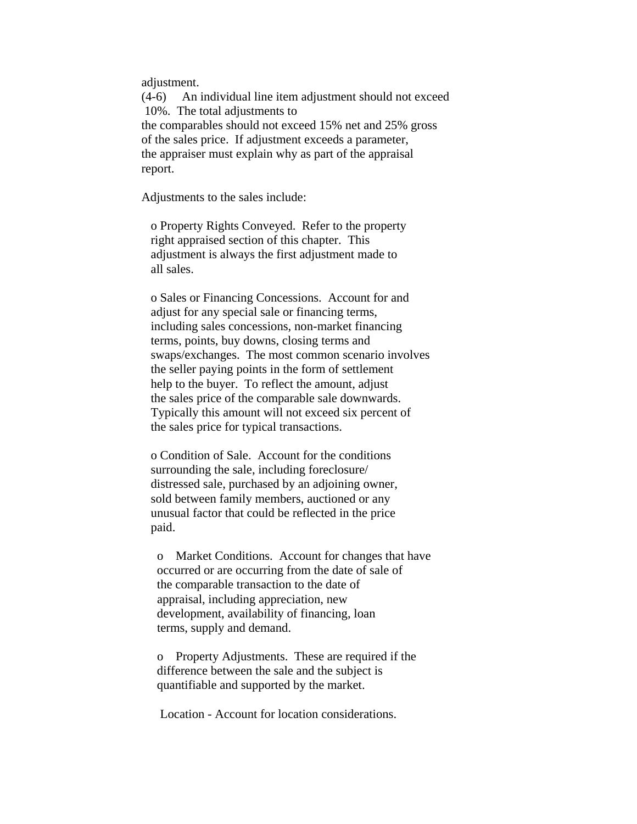adjustment.

 (4-6) An individual line item adjustment should not exceed 10%. The total adjustments to the comparables should not exceed 15% net and 25% gross of the sales price. If adjustment exceeds a parameter, the appraiser must explain why as part of the appraisal report.

Adjustments to the sales include:

 o Property Rights Conveyed. Refer to the property right appraised section of this chapter. This adjustment is always the first adjustment made to all sales.

 o Sales or Financing Concessions. Account for and adjust for any special sale or financing terms, including sales concessions, non-market financing terms, points, buy downs, closing terms and swaps/exchanges. The most common scenario involves the seller paying points in the form of settlement help to the buyer. To reflect the amount, adjust the sales price of the comparable sale downwards. Typically this amount will not exceed six percent of the sales price for typical transactions.

 o Condition of Sale. Account for the conditions surrounding the sale, including foreclosure/ distressed sale, purchased by an adjoining owner, sold between family members, auctioned or any unusual factor that could be reflected in the price paid.

 o Market Conditions. Account for changes that have occurred or are occurring from the date of sale of the comparable transaction to the date of appraisal, including appreciation, new development, availability of financing, loan terms, supply and demand.

 o Property Adjustments. These are required if the difference between the sale and the subject is quantifiable and supported by the market.

Location - Account for location considerations.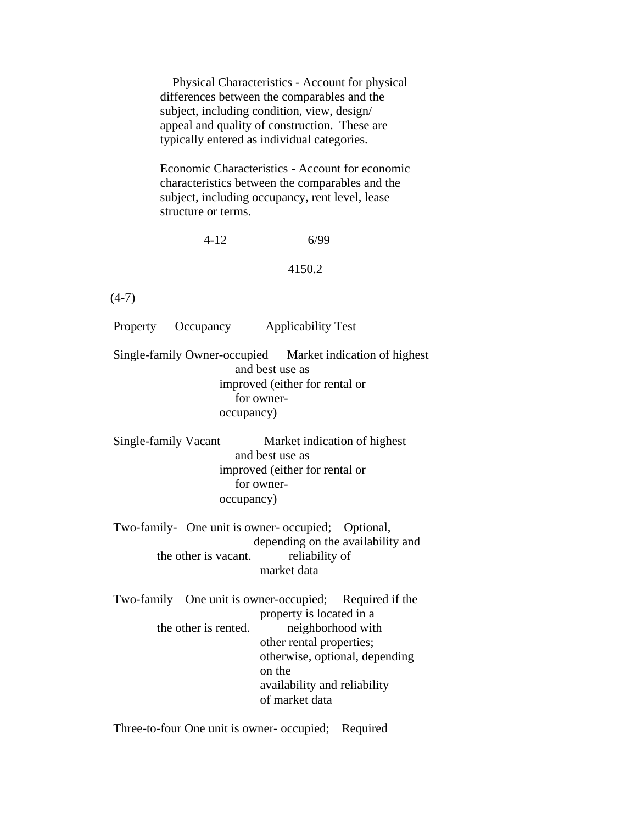Physical Characteristics - Account for physical differences between the comparables and the subject, including condition, view, design/ appeal and quality of construction. These are typically entered as individual categories.

 Economic Characteristics - Account for economic characteristics between the comparables and the subject, including occupancy, rent level, lease structure or terms.

 4-12 6/99 4150.2

 $(4-7)$ 

Property Occupancy Applicability Test

 Single-family Owner-occupied Market indication of highest and best use as improved (either for rental or for owner occupancy)

 Single-family Vacant Market indication of highest and best use as improved (either for rental or for owner occupancy)

 Two-family- One unit is owner- occupied; Optional, depending on the availability and the other is vacant. reliability of market data

 Two-family One unit is owner-occupied; Required if the property is located in a the other is rented. neighborhood with other rental properties; otherwise, optional, depending on the availability and reliability of market data

Three-to-four One unit is owner- occupied; Required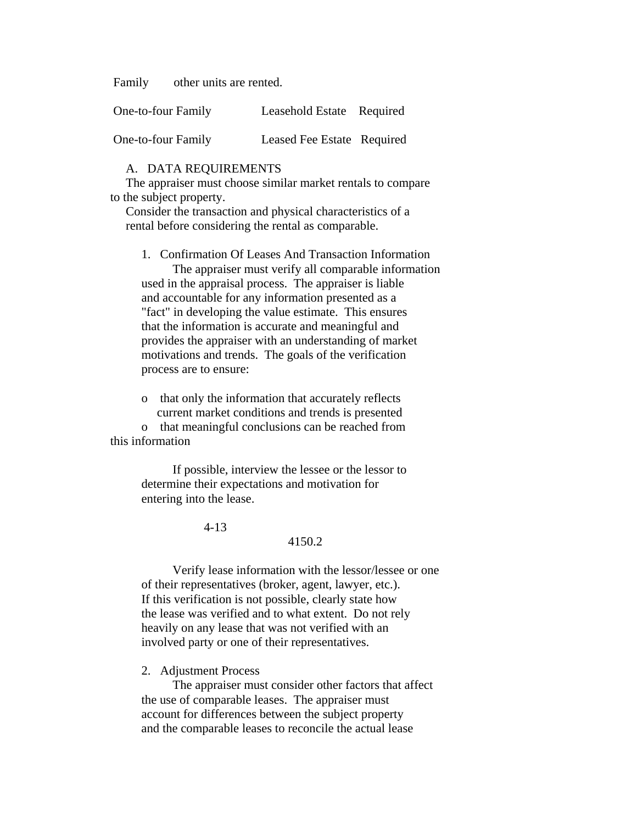Family other units are rented.

| One-to-four Family | Leasehold Estate Required  |  |
|--------------------|----------------------------|--|
| One-to-four Family | Leased Fee Estate Required |  |

### A. DATA REQUIREMENTS

 The appraiser must choose similar market rentals to compare to the subject property.

 Consider the transaction and physical characteristics of a rental before considering the rental as comparable.

 1. Confirmation Of Leases And Transaction Information The appraiser must verify all comparable information used in the appraisal process. The appraiser is liable and accountable for any information presented as a "fact" in developing the value estimate. This ensures that the information is accurate and meaningful and provides the appraiser with an understanding of market motivations and trends. The goals of the verification process are to ensure:

 o that only the information that accurately reflects current market conditions and trends is presented

 o that meaningful conclusions can be reached from this information

 If possible, interview the lessee or the lessor to determine their expectations and motivation for entering into the lease.

4-13

#### 4150.2

 Verify lease information with the lessor/lessee or one of their representatives (broker, agent, lawyer, etc.). If this verification is not possible, clearly state how the lease was verified and to what extent. Do not rely heavily on any lease that was not verified with an involved party or one of their representatives.

### 2. Adjustment Process

 The appraiser must consider other factors that affect the use of comparable leases. The appraiser must account for differences between the subject property and the comparable leases to reconcile the actual lease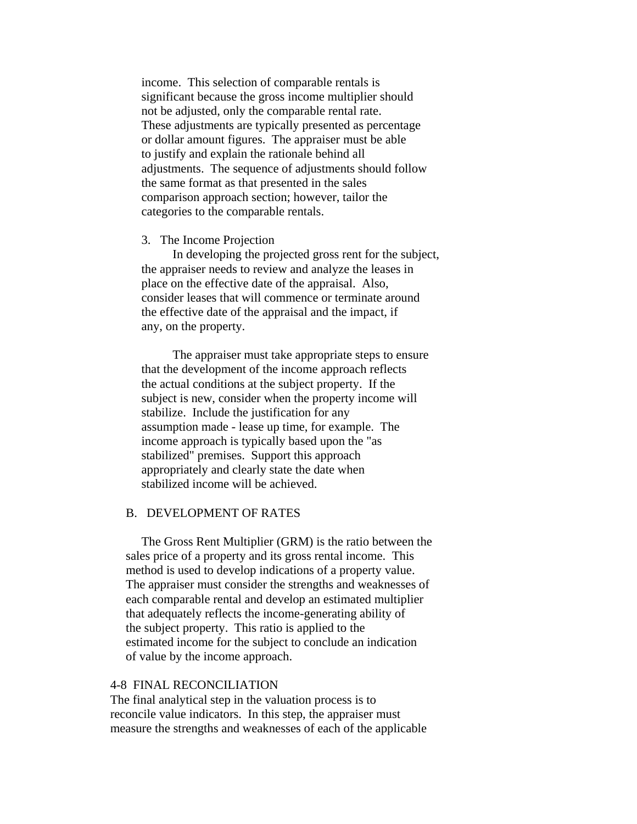income. This selection of comparable rentals is significant because the gross income multiplier should not be adjusted, only the comparable rental rate. These adjustments are typically presented as percentage or dollar amount figures. The appraiser must be able to justify and explain the rationale behind all adjustments. The sequence of adjustments should follow the same format as that presented in the sales comparison approach section; however, tailor the categories to the comparable rentals.

#### 3. The Income Projection

 In developing the projected gross rent for the subject, the appraiser needs to review and analyze the leases in place on the effective date of the appraisal. Also, consider leases that will commence or terminate around the effective date of the appraisal and the impact, if any, on the property.

 The appraiser must take appropriate steps to ensure that the development of the income approach reflects the actual conditions at the subject property. If the subject is new, consider when the property income will stabilize. Include the justification for any assumption made - lease up time, for example. The income approach is typically based upon the "as stabilized" premises. Support this approach appropriately and clearly state the date when stabilized income will be achieved.

#### B. DEVELOPMENT OF RATES

 The Gross Rent Multiplier (GRM) is the ratio between the sales price of a property and its gross rental income. This method is used to develop indications of a property value. The appraiser must consider the strengths and weaknesses of each comparable rental and develop an estimated multiplier that adequately reflects the income-generating ability of the subject property. This ratio is applied to the estimated income for the subject to conclude an indication of value by the income approach.

#### 4-8 FINAL RECONCILIATION

The final analytical step in the valuation process is to reconcile value indicators. In this step, the appraiser must measure the strengths and weaknesses of each of the applicable